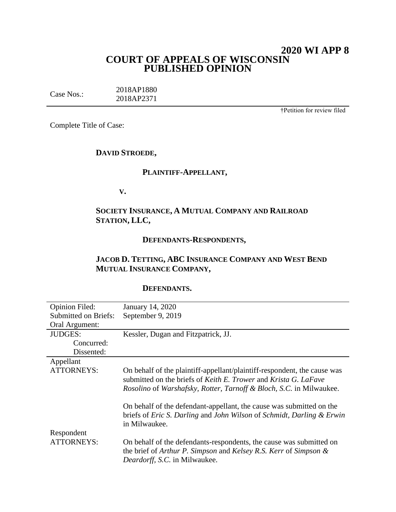# **2020 WI APP 8 COURT OF APPEALS OF WISCONSIN PUBLISHED OPINION**

| Case Nos.: | 2018AP1880 |
|------------|------------|
|            | 2018AP2371 |

†Petition for review filed

Complete Title of Case:

## **DAVID STROEDE,**

# **PLAINTIFF-APPELLANT,**

**V.**

# **SOCIETY INSURANCE, A MUTUAL COMPANY AND RAILROAD STATION, LLC,**

# **DEFENDANTS-RESPONDENTS,**

# **JACOB D. TETTING, ABC INSURANCE COMPANY AND WEST BEND MUTUAL INSURANCE COMPANY,**

## **DEFENDANTS.**

| <b>Opinion Filed:</b>       | January 14, 2020                                                                                                                                                                                                   |
|-----------------------------|--------------------------------------------------------------------------------------------------------------------------------------------------------------------------------------------------------------------|
| <b>Submitted on Briefs:</b> | September 9, 2019                                                                                                                                                                                                  |
| Oral Argument:              |                                                                                                                                                                                                                    |
| <b>JUDGES:</b>              | Kessler, Dugan and Fitzpatrick, JJ.                                                                                                                                                                                |
| Concurred:                  |                                                                                                                                                                                                                    |
| Dissented:                  |                                                                                                                                                                                                                    |
| Appellant                   |                                                                                                                                                                                                                    |
| <b>ATTORNEYS:</b>           | On behalf of the plaintiff-appellant/plaintiff-respondent, the cause was<br>submitted on the briefs of Keith E. Trower and Krista G. LaFave<br>Rosolino of Warshafsky, Rotter, Tarnoff & Bloch, S.C. in Milwaukee. |
|                             | On behalf of the defendant-appellant, the cause was submitted on the<br>briefs of Eric S. Darling and John Wilson of Schmidt, Darling & Erwin<br>in Milwaukee.                                                     |
| Respondent                  |                                                                                                                                                                                                                    |
| <b>ATTORNEYS:</b>           | On behalf of the defendants-respondents, the cause was submitted on<br>the brief of Arthur P. Simpson and Kelsey R.S. Kerr of Simpson &<br>Deardorff, S.C. in Milwaukee.                                           |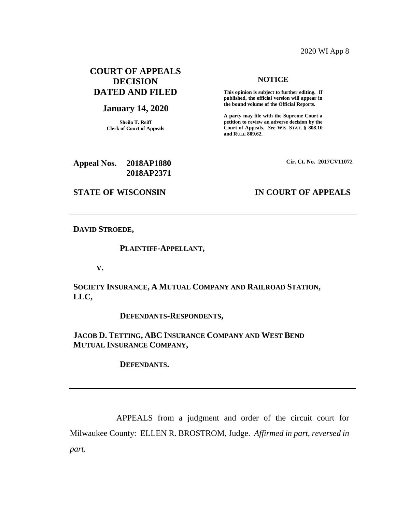## 2020 WI App 8

# **COURT OF APPEALS DECISION DATED AND FILED**

### **January 14, 2020**

**Sheila T. Reiff Clerk of Court of Appeals**

**2018AP2371**

## **NOTICE**

**This opinion is subject to further editing. If published, the official version will appear in the bound volume of the Official Reports.** 

**A party may file with the Supreme Court a petition to review an adverse decision by the Court of Appeals.** *See* **WIS. STAT. § 808.10 and RULE 809.62.** 

**Cir. Ct. No. 2017CV11072**

## **STATE OF WISCONSIN IN COURT OF APPEALS**

**Appeal Nos. 2018AP1880**

## **DAVID STROEDE,**

### **PLAINTIFF-APPELLANT,**

**V.**

# **SOCIETY INSURANCE, A MUTUAL COMPANY AND RAILROAD STATION, LLC,**

**DEFENDANTS-RESPONDENTS,**

**JACOB D. TETTING, ABC INSURANCE COMPANY AND WEST BEND MUTUAL INSURANCE COMPANY,**

**DEFENDANTS.**

APPEALS from a judgment and order of the circuit court for Milwaukee County: ELLEN R. BROSTROM, Judge. *Affirmed in part, reversed in part.*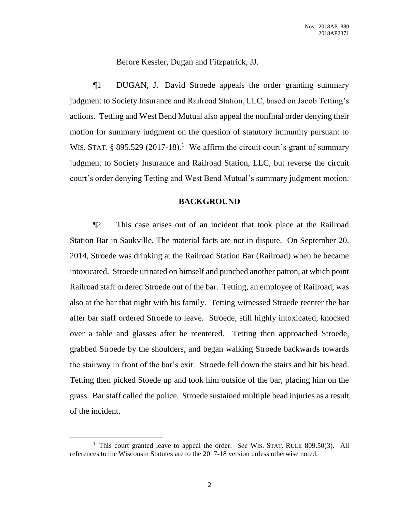Before Kessler, Dugan and Fitzpatrick, JJ.

¶1 DUGAN, J. David Stroede appeals the order granting summary judgment to Society Insurance and Railroad Station, LLC, based on Jacob Tetting's actions. Tetting and West Bend Mutual also appeal the nonfinal order denying their motion for summary judgment on the question of statutory immunity pursuant to WIS. STAT. § 895.529 (2017-18).<sup>1</sup> We affirm the circuit court's grant of summary judgment to Society Insurance and Railroad Station, LLC, but reverse the circuit court's order denying Tetting and West Bend Mutual's summary judgment motion.

### **BACKGROUND**

¶2 This case arises out of an incident that took place at the Railroad Station Bar in Saukville. The material facts are not in dispute. On September 20, 2014, Stroede was drinking at the Railroad Station Bar (Railroad) when he became intoxicated. Stroede urinated on himself and punched another patron, at which point Railroad staff ordered Stroede out of the bar. Tetting, an employee of Railroad, was also at the bar that night with his family. Tetting witnessed Stroede reenter the bar after bar staff ordered Stroede to leave. Stroede, still highly intoxicated, knocked over a table and glasses after he reentered. Tetting then approached Stroede, grabbed Stroede by the shoulders, and began walking Stroede backwards towards the stairway in front of the bar's exit. Stroede fell down the stairs and hit his head. Tetting then picked Stoede up and took him outside of the bar, placing him on the grass. Bar staff called the police. Stroede sustained multiple head injuries as a result of the incident.

 $\overline{a}$ 

<sup>&</sup>lt;sup>1</sup> This court granted leave to appeal the order. *See* WIS. STAT. RULE 809.50(3). All references to the Wisconsin Statutes are to the 2017-18 version unless otherwise noted.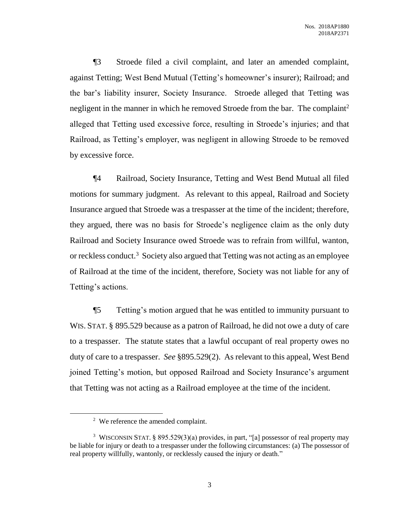¶3 Stroede filed a civil complaint, and later an amended complaint, against Tetting; West Bend Mutual (Tetting's homeowner's insurer); Railroad; and the bar's liability insurer, Society Insurance. Stroede alleged that Tetting was negligent in the manner in which he removed Stroede from the bar. The complaint<sup>2</sup> alleged that Tetting used excessive force, resulting in Stroede's injuries; and that Railroad, as Tetting's employer, was negligent in allowing Stroede to be removed by excessive force.

¶4 Railroad, Society Insurance, Tetting and West Bend Mutual all filed motions for summary judgment. As relevant to this appeal, Railroad and Society Insurance argued that Stroede was a trespasser at the time of the incident; therefore, they argued, there was no basis for Stroede's negligence claim as the only duty Railroad and Society Insurance owed Stroede was to refrain from willful, wanton, or reckless conduct.<sup>3</sup> Society also argued that Tetting was not acting as an employee of Railroad at the time of the incident, therefore, Society was not liable for any of Tetting's actions.

¶5 Tetting's motion argued that he was entitled to immunity pursuant to WIS. STAT. § 895.529 because as a patron of Railroad, he did not owe a duty of care to a trespasser. The statute states that a lawful occupant of real property owes no duty of care to a trespasser. *See* §895.529(2). As relevant to this appeal, West Bend joined Tetting's motion, but opposed Railroad and Society Insurance's argument that Tetting was not acting as a Railroad employee at the time of the incident.

 $\overline{a}$ 

 $2$  We reference the amended complaint.

<sup>&</sup>lt;sup>3</sup> WISCONSIN STAT. § 895.529(3)(a) provides, in part, "[a] possessor of real property may be liable for injury or death to a trespasser under the following circumstances: (a) The possessor of real property willfully, wantonly, or recklessly caused the injury or death."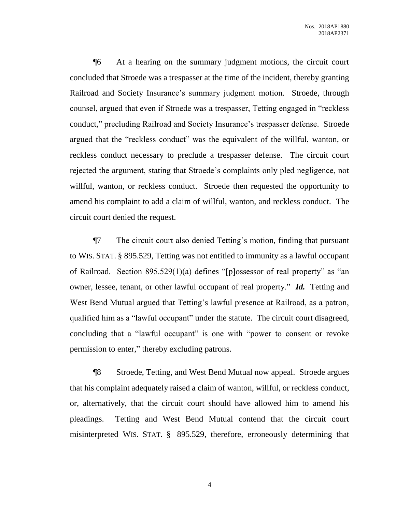¶6 At a hearing on the summary judgment motions, the circuit court concluded that Stroede was a trespasser at the time of the incident, thereby granting Railroad and Society Insurance's summary judgment motion. Stroede, through counsel, argued that even if Stroede was a trespasser, Tetting engaged in "reckless conduct," precluding Railroad and Society Insurance's trespasser defense. Stroede argued that the "reckless conduct" was the equivalent of the willful, wanton, or reckless conduct necessary to preclude a trespasser defense. The circuit court rejected the argument, stating that Stroede's complaints only pled negligence, not willful, wanton, or reckless conduct. Stroede then requested the opportunity to amend his complaint to add a claim of willful, wanton, and reckless conduct. The circuit court denied the request.

¶7 The circuit court also denied Tetting's motion, finding that pursuant to WIS. STAT. § 895.529, Tetting was not entitled to immunity as a lawful occupant of Railroad. Section 895.529(1)(a) defines "[p]ossessor of real property" as "an owner, lessee, tenant, or other lawful occupant of real property." *Id.* Tetting and West Bend Mutual argued that Tetting's lawful presence at Railroad, as a patron, qualified him as a "lawful occupant" under the statute. The circuit court disagreed, concluding that a "lawful occupant" is one with "power to consent or revoke permission to enter," thereby excluding patrons.

¶8 Stroede, Tetting, and West Bend Mutual now appeal. Stroede argues that his complaint adequately raised a claim of wanton, willful, or reckless conduct, or, alternatively, that the circuit court should have allowed him to amend his pleadings. Tetting and West Bend Mutual contend that the circuit court misinterpreted WIS. STAT. § 895.529, therefore, erroneously determining that

4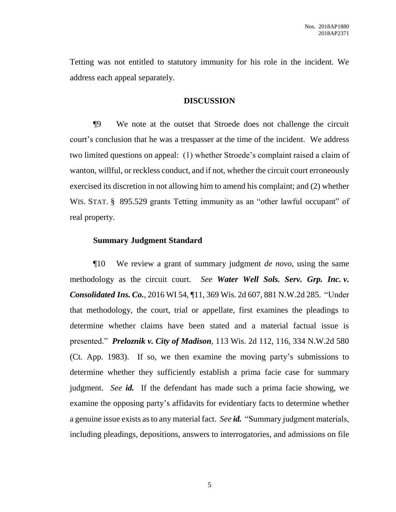Tetting was not entitled to statutory immunity for his role in the incident. We address each appeal separately.

## **DISCUSSION**

¶9 We note at the outset that Stroede does not challenge the circuit court's conclusion that he was a trespasser at the time of the incident. We address two limited questions on appeal: (1) whether Stroede's complaint raised a claim of wanton, willful, or reckless conduct, and if not, whether the circuit court erroneously exercised its discretion in not allowing him to amend his complaint; and (2) whether WIS. STAT. § 895.529 grants Tetting immunity as an "other lawful occupant" of real property.

### **Summary Judgment Standard**

¶10 We review a grant of summary judgment *de novo*, using the same methodology as the circuit court. *See Water Well Sols. Serv. Grp. Inc. v. Consolidated Ins. Co.*, 2016 WI 54, ¶11, 369 Wis. 2d 607, 881 N.W.2d 285. "Under that methodology, the court, trial or appellate, first examines the pleadings to determine whether claims have been stated and a material factual issue is presented." *Preloznik v. City of Madison*, 113 Wis. 2d 112, 116, 334 N.W.2d 580 (Ct. App. 1983). If so, we then examine the moving party's submissions to determine whether they sufficiently establish a prima facie case for summary judgment. *See id.* If the defendant has made such a prima facie showing, we examine the opposing party's affidavits for evidentiary facts to determine whether a genuine issue exists as to any material fact. *See id.* "Summary judgment materials, including pleadings, depositions, answers to interrogatories, and admissions on file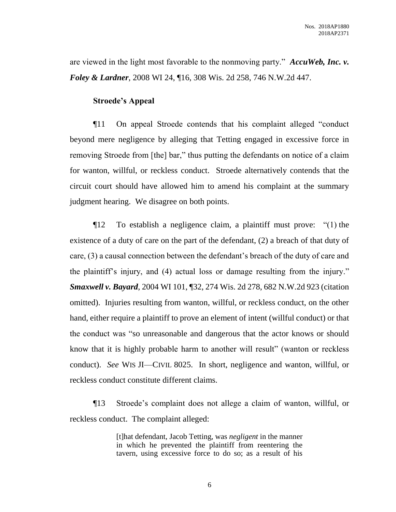are viewed in the light most favorable to the nonmoving party." *AccuWeb, Inc. v. Foley & Lardner*, 2008 WI 24, ¶16, 308 Wis. 2d 258, 746 N.W.2d 447.

## **Stroede's Appeal**

¶11 On appeal Stroede contends that his complaint alleged "conduct beyond mere negligence by alleging that Tetting engaged in excessive force in removing Stroede from [the] bar," thus putting the defendants on notice of a claim for wanton, willful, or reckless conduct. Stroede alternatively contends that the circuit court should have allowed him to amend his complaint at the summary judgment hearing. We disagree on both points.

¶12 To establish a negligence claim, a plaintiff must prove: "(1) the existence of a duty of care on the part of the defendant, (2) a breach of that duty of care, (3) a causal connection between the defendant's breach of the duty of care and the plaintiff's injury, and (4) actual loss or damage resulting from the injury." *Smaxwell v. Bayard*, 2004 WI 101, ¶32, 274 Wis. 2d 278, 682 N.W.2d 923 (citation omitted). Injuries resulting from wanton, willful, or reckless conduct, on the other hand, either require a plaintiff to prove an element of intent (willful conduct) or that the conduct was "so unreasonable and dangerous that the actor knows or should know that it is highly probable harm to another will result" (wanton or reckless conduct). *See* WIS JI—CIVIL 8025. In short, negligence and wanton, willful, or reckless conduct constitute different claims.

¶13 Stroede's complaint does not allege a claim of wanton, willful, or reckless conduct. The complaint alleged:

> [t]hat defendant, Jacob Tetting, was *negligent* in the manner in which he prevented the plaintiff from reentering the tavern, using excessive force to do so; as a result of his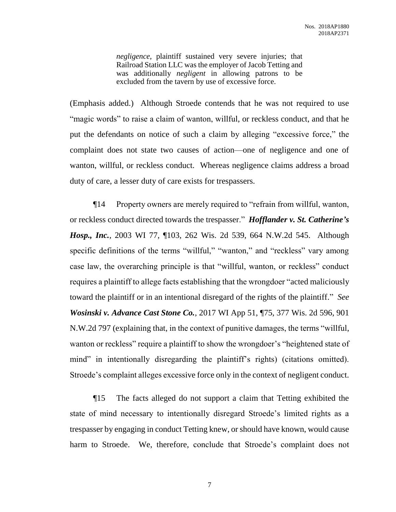*negligence*, plaintiff sustained very severe injuries; that Railroad Station LLC was the employer of Jacob Tetting and was additionally *negligent* in allowing patrons to be excluded from the tavern by use of excessive force.

(Emphasis added.) Although Stroede contends that he was not required to use "magic words" to raise a claim of wanton, willful, or reckless conduct, and that he put the defendants on notice of such a claim by alleging "excessive force," the complaint does not state two causes of action—one of negligence and one of wanton, willful, or reckless conduct. Whereas negligence claims address a broad duty of care, a lesser duty of care exists for trespassers.

¶14 Property owners are merely required to "refrain from willful, wanton, or reckless conduct directed towards the trespasser." *Hofflander v. St. Catherine's Hosp., Inc.*, 2003 WI 77, ¶103, 262 Wis. 2d 539, 664 N.W.2d 545. Although specific definitions of the terms "willful," "wanton," and "reckless" vary among case law, the overarching principle is that "willful, wanton, or reckless" conduct requires a plaintiff to allege facts establishing that the wrongdoer "acted maliciously toward the plaintiff or in an intentional disregard of the rights of the plaintiff." *See Wosinski v. Advance Cast Stone Co.*, 2017 WI App 51, ¶75, 377 Wis. 2d 596, 901 N.W.2d 797 (explaining that, in the context of punitive damages, the terms "willful, wanton or reckless" require a plaintiff to show the wrongdoer's "heightened state of mind" in intentionally disregarding the plaintiff's rights) (citations omitted). Stroede's complaint alleges excessive force only in the context of negligent conduct.

¶15 The facts alleged do not support a claim that Tetting exhibited the state of mind necessary to intentionally disregard Stroede's limited rights as a trespasser by engaging in conduct Tetting knew, or should have known, would cause harm to Stroede. We, therefore, conclude that Stroede's complaint does not

7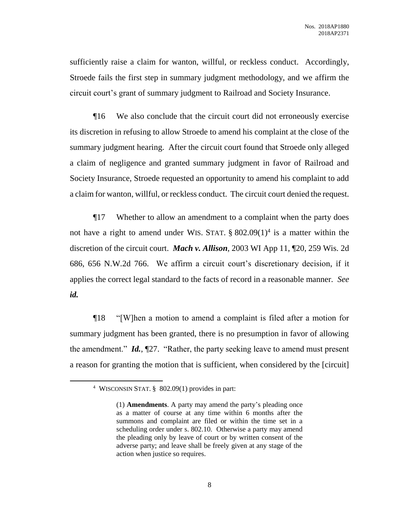sufficiently raise a claim for wanton, willful, or reckless conduct. Accordingly, Stroede fails the first step in summary judgment methodology, and we affirm the circuit court's grant of summary judgment to Railroad and Society Insurance.

¶16 We also conclude that the circuit court did not erroneously exercise its discretion in refusing to allow Stroede to amend his complaint at the close of the summary judgment hearing. After the circuit court found that Stroede only alleged a claim of negligence and granted summary judgment in favor of Railroad and Society Insurance, Stroede requested an opportunity to amend his complaint to add a claim for wanton, willful, or reckless conduct. The circuit court denied the request.

¶17 Whether to allow an amendment to a complaint when the party does not have a right to amend under WIS. STAT.  $\S$  802.09(1)<sup>4</sup> is a matter within the discretion of the circuit court. *Mach v. Allison*, 2003 WI App 11, ¶20, 259 Wis. 2d 686, 656 N.W.2d 766. We affirm a circuit court's discretionary decision, if it applies the correct legal standard to the facts of record in a reasonable manner. *See id.*

¶18 "[W]hen a motion to amend a complaint is filed after a motion for summary judgment has been granted, there is no presumption in favor of allowing the amendment." *Id.*, ¶27. "Rather, the party seeking leave to amend must present a reason for granting the motion that is sufficient, when considered by the [circuit]

 $\overline{a}$ 

<sup>4</sup> WISCONSIN STAT. § 802.09(1) provides in part:

<sup>(1)</sup> **Amendments**. A party may amend the party's pleading once as a matter of course at any time within 6 months after the summons and complaint are filed or within the time set in a scheduling order under s. 802.10. Otherwise a party may amend the pleading only by leave of court or by written consent of the adverse party; and leave shall be freely given at any stage of the action when justice so requires.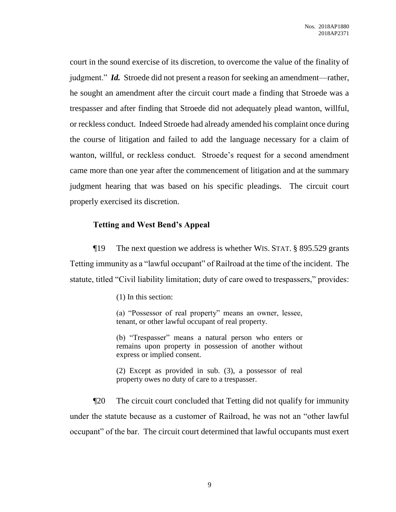court in the sound exercise of its discretion, to overcome the value of the finality of judgment." *Id.* Stroede did not present a reason for seeking an amendment—rather, he sought an amendment after the circuit court made a finding that Stroede was a trespasser and after finding that Stroede did not adequately plead wanton, willful, or reckless conduct. Indeed Stroede had already amended his complaint once during the course of litigation and failed to add the language necessary for a claim of wanton, willful, or reckless conduct. Stroede's request for a second amendment came more than one year after the commencement of litigation and at the summary judgment hearing that was based on his specific pleadings. The circuit court properly exercised its discretion.

## **Tetting and West Bend's Appeal**

¶19 The next question we address is whether WIS. STAT. § 895.529 grants Tetting immunity as a "lawful occupant" of Railroad at the time of the incident. The statute, titled "Civil liability limitation; duty of care owed to trespassers," provides:

(1) In this section:

(a) "Possessor of real property" means an owner, lessee, tenant, or other lawful occupant of real property.

(b) "Trespasser" means a natural person who enters or remains upon property in possession of another without express or implied consent.

(2) Except as provided in sub. (3), a possessor of real property owes no duty of care to a trespasser.

¶20 The circuit court concluded that Tetting did not qualify for immunity under the statute because as a customer of Railroad, he was not an "other lawful occupant" of the bar. The circuit court determined that lawful occupants must exert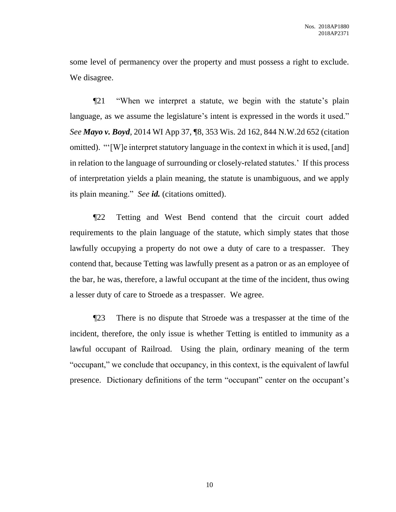some level of permanency over the property and must possess a right to exclude. We disagree.

¶21 "When we interpret a statute, we begin with the statute's plain language, as we assume the legislature's intent is expressed in the words it used." *See Mayo v. Boyd*, 2014 WI App 37, ¶8, 353 Wis. 2d 162, 844 N.W.2d 652 (citation omitted). "'[W]e interpret statutory language in the context in which it is used, [and] in relation to the language of surrounding or closely-related statutes.' If this process of interpretation yields a plain meaning, the statute is unambiguous, and we apply its plain meaning." *See id.* (citations omitted).

¶22 Tetting and West Bend contend that the circuit court added requirements to the plain language of the statute, which simply states that those lawfully occupying a property do not owe a duty of care to a trespasser. They contend that, because Tetting was lawfully present as a patron or as an employee of the bar, he was, therefore, a lawful occupant at the time of the incident, thus owing a lesser duty of care to Stroede as a trespasser. We agree.

¶23 There is no dispute that Stroede was a trespasser at the time of the incident, therefore, the only issue is whether Tetting is entitled to immunity as a lawful occupant of Railroad. Using the plain, ordinary meaning of the term "occupant," we conclude that occupancy, in this context, is the equivalent of lawful presence. Dictionary definitions of the term "occupant" center on the occupant's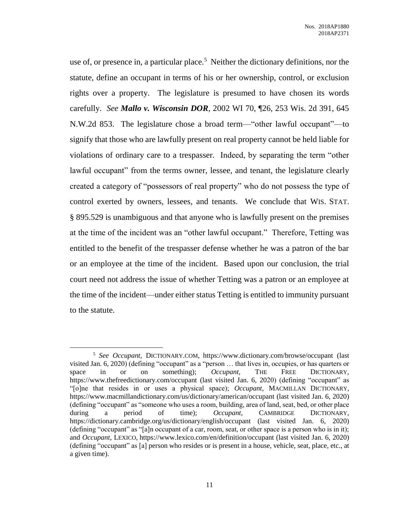use of, or presence in, a particular place.<sup>5</sup> Neither the dictionary definitions, nor the statute, define an occupant in terms of his or her ownership, control, or exclusion rights over a property. The legislature is presumed to have chosen its words carefully. *See Mallo v. Wisconsin DOR*, 2002 WI 70, ¶26, 253 Wis. 2d 391, 645 N.W.2d 853. The legislature chose a broad term—"other lawful occupant"—to signify that those who are lawfully present on real property cannot be held liable for violations of ordinary care to a trespasser. Indeed, by separating the term "other lawful occupant" from the terms owner, lessee, and tenant, the legislature clearly created a category of "possessors of real property" who do not possess the type of control exerted by owners, lessees, and tenants. We conclude that WIS. STAT. § 895.529 is unambiguous and that anyone who is lawfully present on the premises at the time of the incident was an "other lawful occupant." Therefore, Tetting was entitled to the benefit of the trespasser defense whether he was a patron of the bar or an employee at the time of the incident. Based upon our conclusion, the trial court need not address the issue of whether Tetting was a patron or an employee at the time of the incident—under either status Tetting is entitled to immunity pursuant to the statute.

 $\overline{a}$ 5 *See Occupant*, DICTIONARY.COM, https://www.dictionary.com/browse/occupant (last visited Jan. 6, 2020) (defining "occupant" as a "person … that lives in, occupies, or has quarters or space in or on something); *Occupant*, THE FREE DICTIONARY, https://www.thefreedictionary.com/occupant (last visited Jan. 6, 2020) (defining "occupant" as "[o]ne that resides in or uses a physical space); *Occupant*, MACMILLAN DICTIONARY, https://www.macmillandictionary.com/us/dictionary/american/occupant (last visited Jan. 6, 2020) (defining "occupant" as "someone who uses a room, building, area of land, seat, bed, or other place during a period of time); *Occupant*, CAMBRIDGE DICTIONARY, https://dictionary.cambridge.org/us/dictionary/english/occupant (last visited Jan. 6, 2020) (defining "occupant" as "[a]n occupant of a car, room, seat, or other space is a person who is in it); and *Occupant*, LEXICO, https://www.lexico.com/en/definition/occupant (last visited Jan. 6, 2020) (defining "occupant" as [a] person who resides or is present in a house, vehicle, seat, place, etc., at a given time).